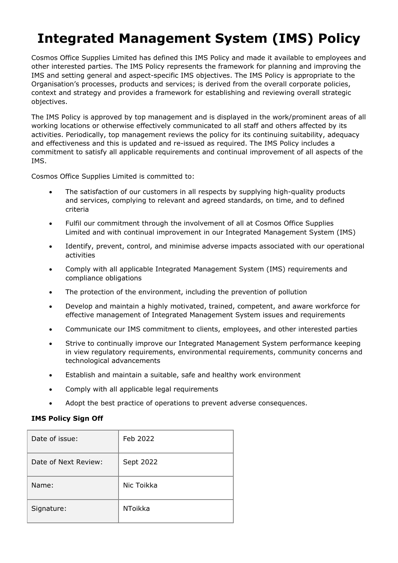## **Integrated Management System (IMS) Policy**

Cosmos Office Supplies Limited has defined this IMS Policy and made it available to employees and other interested parties. The IMS Policy represents the framework for planning and improving the IMS and setting general and aspect-specific IMS objectives. The IMS Policy is appropriate to the Organisation's processes, products and services; is derived from the overall corporate policies, context and strategy and provides a framework for establishing and reviewing overall strategic objectives.

The IMS Policy is approved by top management and is displayed in the work/prominent areas of all working locations or otherwise effectively communicated to all staff and others affected by its activities. Periodically, top management reviews the policy for its continuing suitability, adequacy and effectiveness and this is updated and re-issued as required. The IMS Policy includes a commitment to satisfy all applicable requirements and continual improvement of all aspects of the IMS.

Cosmos Office Supplies Limited is committed to:

- The satisfaction of our customers in all respects by supplying high-quality products and services, complying to relevant and agreed standards, on time, and to defined criteria
- Fulfil our commitment through the involvement of all at Cosmos Office Supplies Limited and with continual improvement in our Integrated Management System (IMS)
- Identify, prevent, control, and minimise adverse impacts associated with our operational activities
- Comply with all applicable Integrated Management System (IMS) requirements and compliance obligations
- The protection of the environment, including the prevention of pollution
- Develop and maintain a highly motivated, trained, competent, and aware workforce for effective management of Integrated Management System issues and requirements
- Communicate our IMS commitment to clients, employees, and other interested parties
- Strive to continually improve our Integrated Management System performance keeping in view regulatory requirements, environmental requirements, community concerns and technological advancements
- Establish and maintain a suitable, safe and healthy work environment
- Comply with all applicable legal requirements
- Adopt the best practice of operations to prevent adverse consequences.

## **IMS Policy Sign Off**

| Date of issue:       | Feb 2022       |
|----------------------|----------------|
| Date of Next Review: | Sept 2022      |
| Name:                | Nic Toikka     |
| Signature:           | <b>NToikka</b> |